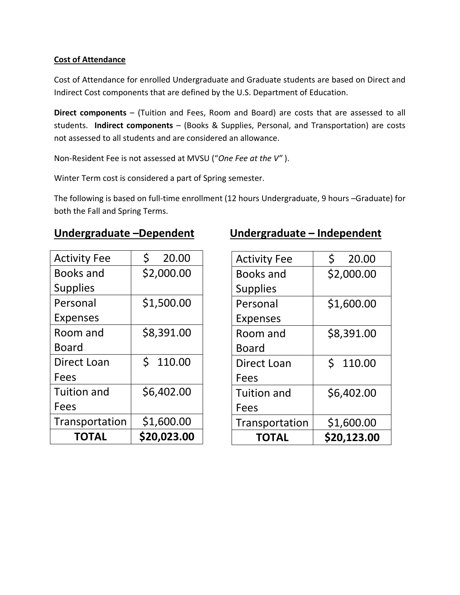## **Cost of Attendance**

Cost of Attendance for enrolled Undergraduate and Graduate students are based on Direct and Indirect Cost components that are defined by the U.S. Department of Education.

**Direct components** – (Tuition and Fees, Room and Board) are costs that are assessed to all students. **Indirect components** – (Books & Supplies, Personal, and Transportation) are costs not assessed to all students and are considered an allowance.

Non-Resident Fee is not assessed at MVSU ("*One Fee at the V"* ).

Winter Term cost is considered a part of Spring semester.

The following is based on full-time enrollment (12 hours Undergraduate, 9 hours –Graduate) for both the Fall and Spring Terms.

| TOTAL               | \$20,023.00 |
|---------------------|-------------|
| Transportation      | \$1,600.00  |
| Fees                |             |
| <b>Tuition and</b>  | \$6,402.00  |
| Fees                |             |
| Direct Loan         | Ś<br>110.00 |
| Board               |             |
| Room and            | \$8,391.00  |
| <b>Expenses</b>     |             |
| Personal            | \$1,500.00  |
| <b>Supplies</b>     |             |
| <b>Books and</b>    | \$2,000.00  |
| <b>Activity Fee</b> | 20.00       |

## **Undergraduate –Dependent Undergraduate – Independent**

| <b>Activity Fee</b> | Ś<br>20.00  |
|---------------------|-------------|
| <b>Books and</b>    | \$2,000.00  |
| <b>Supplies</b>     |             |
| Personal            | \$1,600.00  |
| <b>Expenses</b>     |             |
| Room and            | \$8,391.00  |
| Board               |             |
| Direct Loan         | Ś<br>110.00 |
| Fees                |             |
| <b>Tuition and</b>  | \$6,402.00  |
| Fees                |             |
| Transportation      | \$1,600.00  |
| TOTAL               | \$20,123.00 |